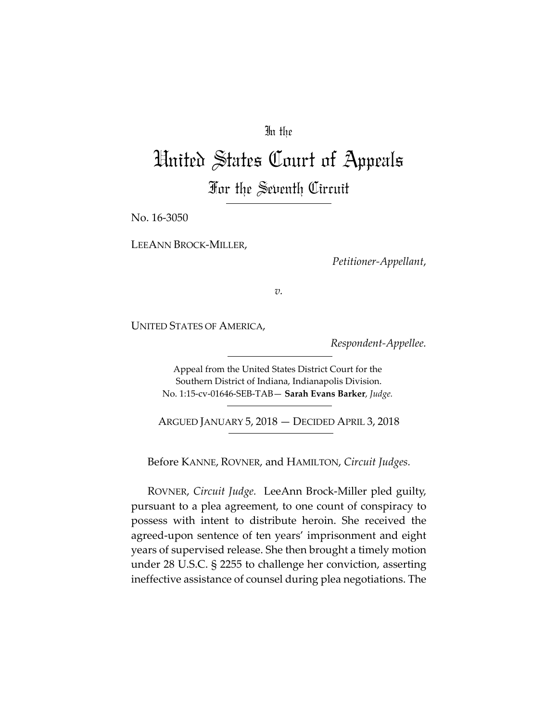## In the

# United States Court of Appeals For the Seventh Circuit

No. 16-3050

LEEANN BROCK-MILLER,

*Petitioner-Appellant*,

*v.*

UNITED STATES OF AMERICA,

*Respondent-Appellee.*

Appeal from the United States District Court for the Southern District of Indiana, Indianapolis Division. No. 1:15-cv-01646-SEB-TAB— **Sarah Evans Barker**, *Judge.*

ARGUED JANUARY 5, 2018 — DECIDED APRIL 3, 2018

Before KANNE, ROVNER, and HAMILTON, *Circuit Judges.*

ROVNER, *Circuit Judge.* LeeAnn Brock-Miller pled guilty, pursuant to a plea agreement, to one count of conspiracy to possess with intent to distribute heroin. She received the agreed-upon sentence of ten years' imprisonment and eight years of supervised release. She then brought a timely motion under 28 U.S.C. § 2255 to challenge her conviction, asserting ineffective assistance of counsel during plea negotiations. The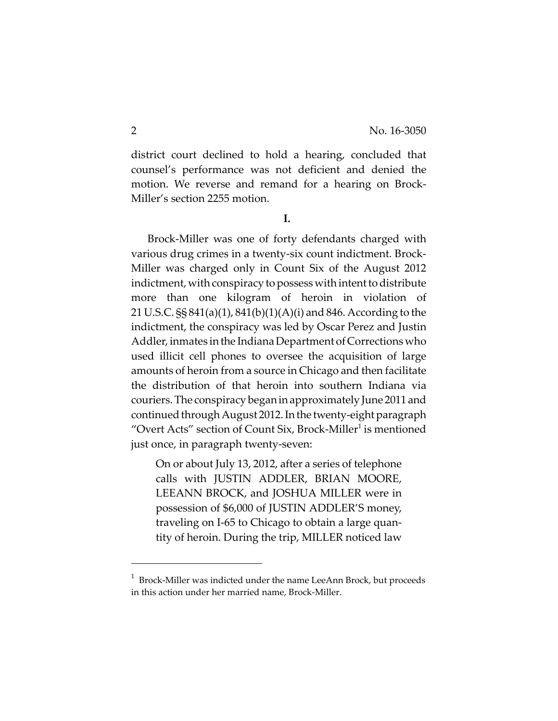district court declined to hold a hearing, concluded that counsel's performance was not deficient and denied the motion. We reverse and remand for a hearing on Brock-Miller's section 2255 motion.

**I.**

Brock-Miller was one of forty defendants charged with various drug crimes in a twenty-six count indictment. Brock-Miller was charged only in Count Six of the August 2012 indictment, with conspiracy to possess with intent to distribute more than one kilogram of heroin in violation of 21 U.S.C. §§ 841(a)(1), 841(b)(1)(A)(i) and 846. According to the indictment, the conspiracy was led by Oscar Perez and Justin Addler, inmates in the Indiana Department of Corrections who used illicit cell phones to oversee the acquisition of large amounts of heroin from a source in Chicago and then facilitate the distribution of that heroin into southern Indiana via couriers. The conspiracy began in approximately June 2011 and continued through August 2012. In the twenty-eight paragraph "Overt Acts" section of Count Six, Brock-Miller<sup>1</sup> is mentioned just once, in paragraph twenty-seven:

On or about July 13, 2012, after a series of telephone calls with JUSTIN ADDLER, BRIAN MOORE, LEEANN BROCK, and JOSHUA MILLER were in possession of \$6,000 of JUSTIN ADDLER'S money, traveling on I-65 to Chicago to obtain a large quantity of heroin. During the trip, MILLER noticed law

 $^1$  Brock-Miller was indicted under the name LeeAnn Brock, but proceeds in this action under her married name, Brock-Miller.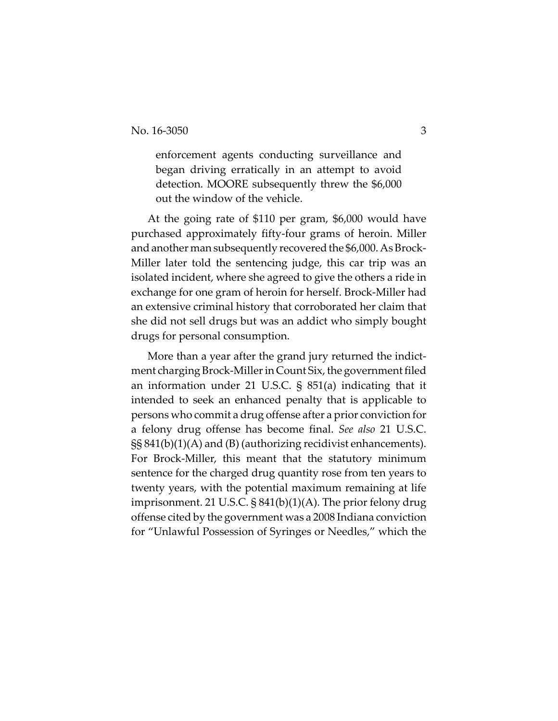enforcement agents conducting surveillance and began driving erratically in an attempt to avoid detection. MOORE subsequently threw the \$6,000 out the window of the vehicle.

At the going rate of \$110 per gram, \$6,000 would have purchased approximately fifty-four grams of heroin. Miller and another man subsequently recovered the \$6,000. As Brock-Miller later told the sentencing judge, this car trip was an isolated incident, where she agreed to give the others a ride in exchange for one gram of heroin for herself. Brock-Miller had an extensive criminal history that corroborated her claim that she did not sell drugs but was an addict who simply bought drugs for personal consumption.

More than a year after the grand jury returned the indictment charging Brock-Miller in Count Six, the government filed an information under 21 U.S.C. § 851(a) indicating that it intended to seek an enhanced penalty that is applicable to persons who commit a drug offense after a prior conviction for a felony drug offense has become final. *See also* 21 U.S.C. §§ 841(b)(1)(A) and (B) (authorizing recidivist enhancements). For Brock-Miller, this meant that the statutory minimum sentence for the charged drug quantity rose from ten years to twenty years, with the potential maximum remaining at life imprisonment. 21 U.S.C. § 841(b)(1)(A). The prior felony drug offense cited by the government was a 2008 Indiana conviction for "Unlawful Possession of Syringes or Needles," which the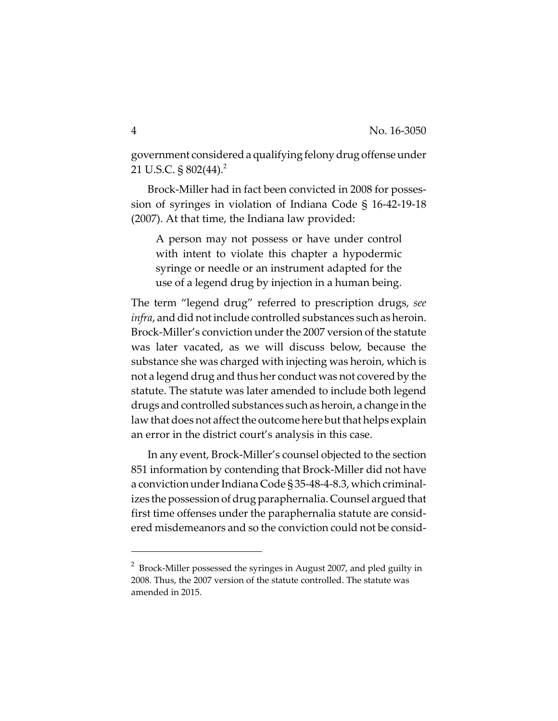government considered a qualifying felony drug offense under 21 U.S.C. §  $802(44)$ .<sup>2</sup>

Brock-Miller had in fact been convicted in 2008 for possession of syringes in violation of Indiana Code § 16-42-19-18 (2007). At that time, the Indiana law provided:

A person may not possess or have under control with intent to violate this chapter a hypodermic syringe or needle or an instrument adapted for the use of a legend drug by injection in a human being.

The term "legend drug" referred to prescription drugs, *see infra*, and did not include controlled substances such as heroin. Brock-Miller's conviction under the 2007 version of the statute was later vacated, as we will discuss below, because the substance she was charged with injecting was heroin, which is not a legend drug and thus her conduct was not covered by the statute. The statute was later amended to include both legend drugs and controlled substances such as heroin, a change in the law that does not affect the outcome here but that helps explain an error in the district court's analysis in this case.

In any event, Brock-Miller's counsel objected to the section 851 information by contending that Brock-Miller did not have a conviction under Indiana Code § 35-48-4-8.3, which criminalizes the possession of drug paraphernalia. Counsel argued that first time offenses under the paraphernalia statute are considered misdemeanors and so the conviction could not be consid-

 $^2$  Brock-Miller possessed the syringes in August 2007, and pled guilty in 2008. Thus, the 2007 version of the statute controlled. The statute was amended in 2015.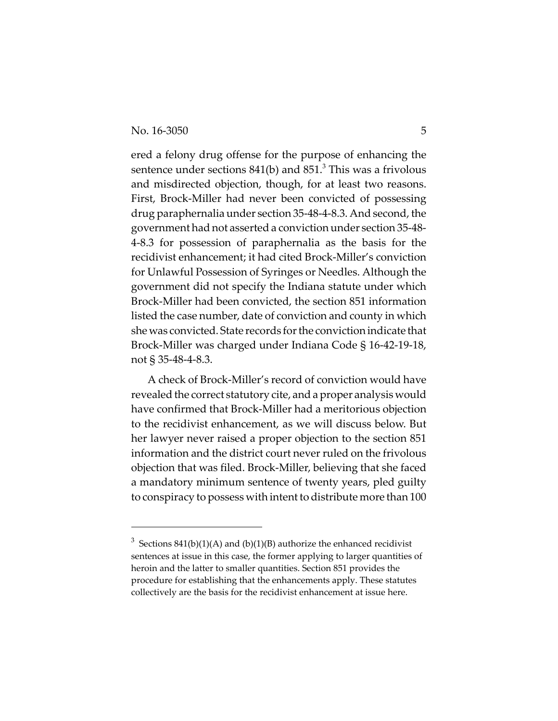ered a felony drug offense for the purpose of enhancing the sentence under sections  $841(b)$  and  $851.^3$  This was a frivolous and misdirected objection, though, for at least two reasons. First, Brock-Miller had never been convicted of possessing drug paraphernalia under section 35-48-4-8.3. And second, the government had not asserted a conviction under section 35-48- 4-8.3 for possession of paraphernalia as the basis for the recidivist enhancement; it had cited Brock-Miller's conviction for Unlawful Possession of Syringes or Needles. Although the government did not specify the Indiana statute under which Brock-Miller had been convicted, the section 851 information listed the case number, date of conviction and county in which she was convicted. State records for the conviction indicate that Brock-Miller was charged under Indiana Code § 16-42-19-18, not § 35-48-4-8.3.

A check of Brock-Miller's record of conviction would have revealed the correct statutory cite, and a proper analysis would have confirmed that Brock-Miller had a meritorious objection to the recidivist enhancement, as we will discuss below. But her lawyer never raised a proper objection to the section 851 information and the district court never ruled on the frivolous objection that was filed. Brock-Miller, believing that she faced a mandatory minimum sentence of twenty years, pled guilty to conspiracy to possess with intent to distribute more than 100

<sup>&</sup>lt;sup>3</sup> Sections 841(b)(1)(A) and (b)(1)(B) authorize the enhanced recidivist sentences at issue in this case, the former applying to larger quantities of heroin and the latter to smaller quantities. Section 851 provides the procedure for establishing that the enhancements apply. These statutes collectively are the basis for the recidivist enhancement at issue here.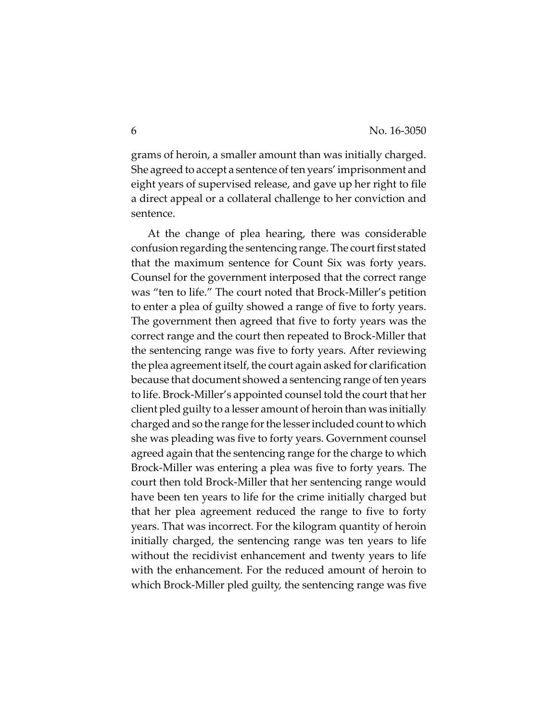grams of heroin, a smaller amount than was initially charged. She agreed to accept a sentence of ten years' imprisonment and eight years of supervised release, and gave up her right to file a direct appeal or a collateral challenge to her conviction and sentence.

At the change of plea hearing, there was considerable confusion regarding the sentencing range. The court first stated that the maximum sentence for Count Six was forty years. Counsel for the government interposed that the correct range was "ten to life." The court noted that Brock-Miller's petition to enter a plea of guilty showed a range of five to forty years. The government then agreed that five to forty years was the correct range and the court then repeated to Brock-Miller that the sentencing range was five to forty years. After reviewing the plea agreement itself, the court again asked for clarification because that document showed a sentencing range of ten years to life. Brock-Miller's appointed counsel told the court that her client pled guilty to a lesser amount of heroin than was initially charged and so the range for the lesser included count to which she was pleading was five to forty years. Government counsel agreed again that the sentencing range for the charge to which Brock-Miller was entering a plea was five to forty years. The court then told Brock-Miller that her sentencing range would have been ten years to life for the crime initially charged but that her plea agreement reduced the range to five to forty years. That was incorrect. For the kilogram quantity of heroin initially charged, the sentencing range was ten years to life without the recidivist enhancement and twenty years to life with the enhancement. For the reduced amount of heroin to which Brock-Miller pled guilty, the sentencing range was five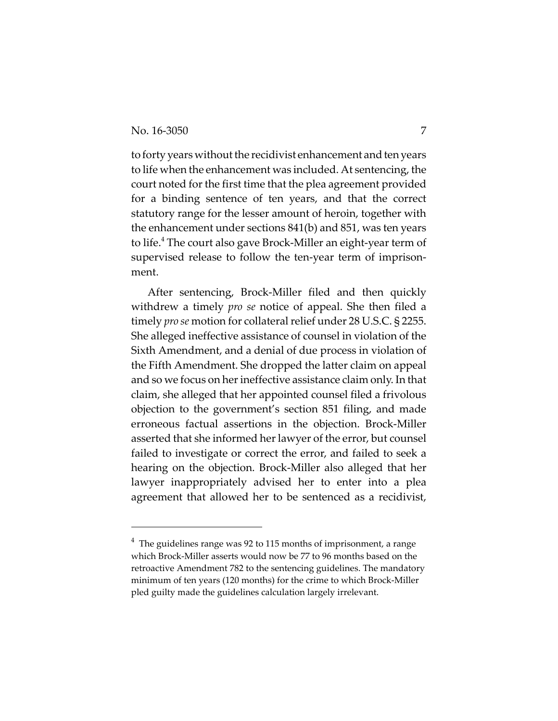to forty years without the recidivist enhancement and ten years to life when the enhancement was included. At sentencing, the court noted for the first time that the plea agreement provided for a binding sentence of ten years, and that the correct statutory range for the lesser amount of heroin, together with the enhancement under sections 841(b) and 851, was ten years to life.<sup>4</sup> The court also gave Brock-Miller an eight-year term of supervised release to follow the ten-year term of imprisonment.

After sentencing, Brock-Miller filed and then quickly withdrew a timely *pro se* notice of appeal. She then filed a timely *pro se* motion for collateral relief under 28 U.S.C. § 2255. She alleged ineffective assistance of counsel in violation of the Sixth Amendment, and a denial of due process in violation of the Fifth Amendment. She dropped the latter claim on appeal and so we focus on her ineffective assistance claim only. In that claim, she alleged that her appointed counsel filed a frivolous objection to the government's section 851 filing, and made erroneous factual assertions in the objection. Brock-Miller asserted that she informed her lawyer of the error, but counsel failed to investigate or correct the error, and failed to seek a hearing on the objection. Brock-Miller also alleged that her lawyer inappropriately advised her to enter into a plea agreement that allowed her to be sentenced as a recidivist,

 $^4$  The guidelines range was 92 to 115 months of imprisonment, a range which Brock-Miller asserts would now be 77 to 96 months based on the retroactive Amendment 782 to the sentencing guidelines. The mandatory minimum of ten years (120 months) for the crime to which Brock-Miller pled guilty made the guidelines calculation largely irrelevant.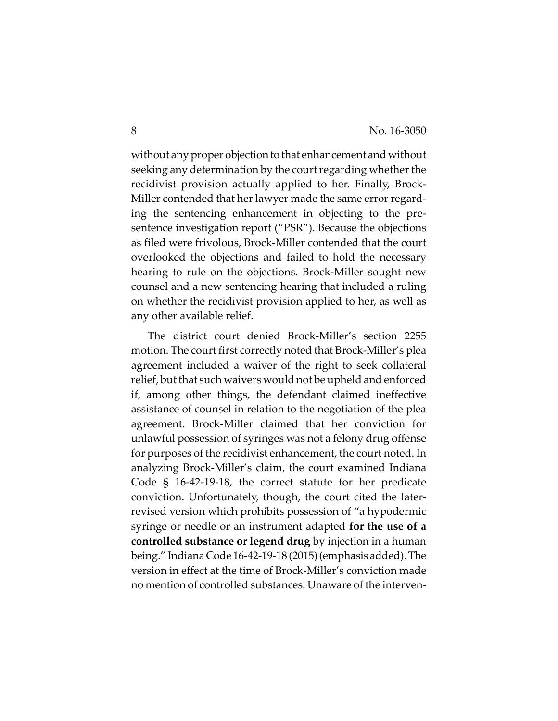without any proper objection to that enhancement and without seeking any determination by the court regarding whether the recidivist provision actually applied to her. Finally, Brock-Miller contended that her lawyer made the same error regarding the sentencing enhancement in objecting to the presentence investigation report ("PSR"). Because the objections as filed were frivolous, Brock-Miller contended that the court overlooked the objections and failed to hold the necessary hearing to rule on the objections. Brock-Miller sought new counsel and a new sentencing hearing that included a ruling on whether the recidivist provision applied to her, as well as any other available relief.

The district court denied Brock-Miller's section 2255 motion. The court first correctly noted that Brock-Miller's plea agreement included a waiver of the right to seek collateral relief, but that such waivers would not be upheld and enforced if, among other things, the defendant claimed ineffective assistance of counsel in relation to the negotiation of the plea agreement. Brock-Miller claimed that her conviction for unlawful possession of syringes was not a felony drug offense for purposes of the recidivist enhancement, the court noted. In analyzing Brock-Miller's claim, the court examined Indiana Code § 16-42-19-18, the correct statute for her predicate conviction. Unfortunately, though, the court cited the laterrevised version which prohibits possession of "a hypodermic syringe or needle or an instrument adapted **for the use of a controlled substance or legend drug** by injection in a human being." Indiana Code 16-42-19-18 (2015) (emphasis added). The version in effect at the time of Brock-Miller's conviction made no mention of controlled substances. Unaware of the interven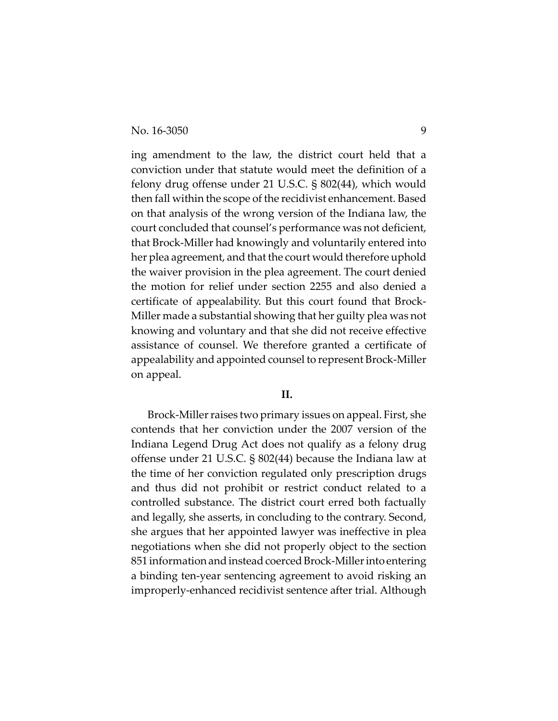No. 16-3050 9

ing amendment to the law, the district court held that a conviction under that statute would meet the definition of a felony drug offense under 21 U.S.C. § 802(44), which would then fall within the scope of the recidivist enhancement. Based on that analysis of the wrong version of the Indiana law, the court concluded that counsel's performance was not deficient, that Brock-Miller had knowingly and voluntarily entered into her plea agreement, and that the court would therefore uphold the waiver provision in the plea agreement. The court denied the motion for relief under section 2255 and also denied a certificate of appealability. But this court found that Brock-Miller made a substantial showing that her guilty plea was not knowing and voluntary and that she did not receive effective assistance of counsel. We therefore granted a certificate of appealability and appointed counsel to represent Brock-Miller on appeal.

#### **II.**

Brock-Miller raises two primary issues on appeal. First, she contends that her conviction under the 2007 version of the Indiana Legend Drug Act does not qualify as a felony drug offense under 21 U.S.C. § 802(44) because the Indiana law at the time of her conviction regulated only prescription drugs and thus did not prohibit or restrict conduct related to a controlled substance. The district court erred both factually and legally, she asserts, in concluding to the contrary. Second, she argues that her appointed lawyer was ineffective in plea negotiations when she did not properly object to the section 851 information and instead coerced Brock-Miller into entering a binding ten-year sentencing agreement to avoid risking an improperly-enhanced recidivist sentence after trial. Although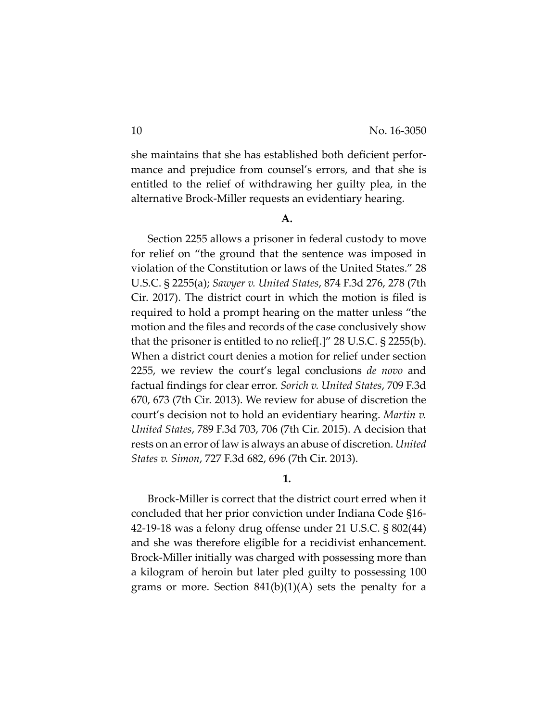she maintains that she has established both deficient performance and prejudice from counsel's errors, and that she is entitled to the relief of withdrawing her guilty plea, in the alternative Brock-Miller requests an evidentiary hearing.

#### **A.**

Section 2255 allows a prisoner in federal custody to move for relief on "the ground that the sentence was imposed in violation of the Constitution or laws of the United States." 28 U.S.C. § 2255(a); *Sawyer v. United States*, 874 F.3d 276, 278 (7th Cir. 2017). The district court in which the motion is filed is required to hold a prompt hearing on the matter unless "the motion and the files and records of the case conclusively show that the prisoner is entitled to no relief[.]" 28 U.S.C. § 2255(b). When a district court denies a motion for relief under section 2255, we review the court's legal conclusions *de novo* and factual findings for clear error. *Sorich v. United States*, 709 F.3d 670, 673 (7th Cir. 2013). We review for abuse of discretion the court's decision not to hold an evidentiary hearing. *Martin v. United States*, 789 F.3d 703, 706 (7th Cir. 2015). A decision that rests on an error of law is always an abuse of discretion. *United States v. Simon*, 727 F.3d 682, 696 (7th Cir. 2013).

**1.**

Brock-Miller is correct that the district court erred when it concluded that her prior conviction under Indiana Code §16- 42-19-18 was a felony drug offense under 21 U.S.C. § 802(44) and she was therefore eligible for a recidivist enhancement. Brock-Miller initially was charged with possessing more than a kilogram of heroin but later pled guilty to possessing 100 grams or more. Section 841(b)(1)(A) sets the penalty for a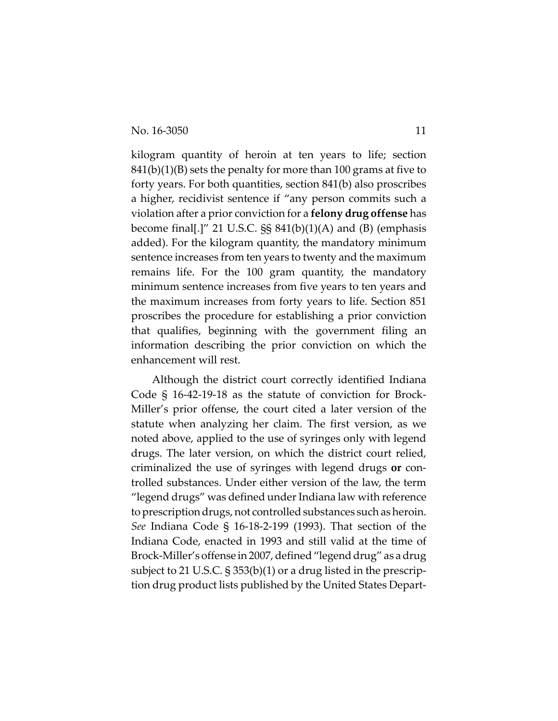kilogram quantity of heroin at ten years to life; section  $841(b)(1)(B)$  sets the penalty for more than 100 grams at five to forty years. For both quantities, section 841(b) also proscribes a higher, recidivist sentence if "any person commits such a violation after a prior conviction for a **felony drug offense** has become final[.]" 21 U.S.C.  $\S$ § 841(b)(1)(A) and (B) (emphasis added). For the kilogram quantity, the mandatory minimum sentence increases from ten years to twenty and the maximum remains life. For the 100 gram quantity, the mandatory minimum sentence increases from five years to ten years and the maximum increases from forty years to life. Section 851 proscribes the procedure for establishing a prior conviction that qualifies, beginning with the government filing an information describing the prior conviction on which the enhancement will rest.

 Although the district court correctly identified Indiana Code § 16-42-19-18 as the statute of conviction for Brock-Miller's prior offense, the court cited a later version of the statute when analyzing her claim. The first version, as we noted above, applied to the use of syringes only with legend drugs. The later version, on which the district court relied, criminalized the use of syringes with legend drugs **or** controlled substances. Under either version of the law, the term "legend drugs" was defined under Indiana law with reference to prescription drugs, not controlled substances such as heroin. *See* Indiana Code § 16-18-2-199 (1993). That section of the Indiana Code, enacted in 1993 and still valid at the time of Brock-Miller's offense in 2007, defined "legend drug" as a drug subject to 21 U.S.C. § 353(b)(1) or a drug listed in the prescription drug product lists published by the United States Depart-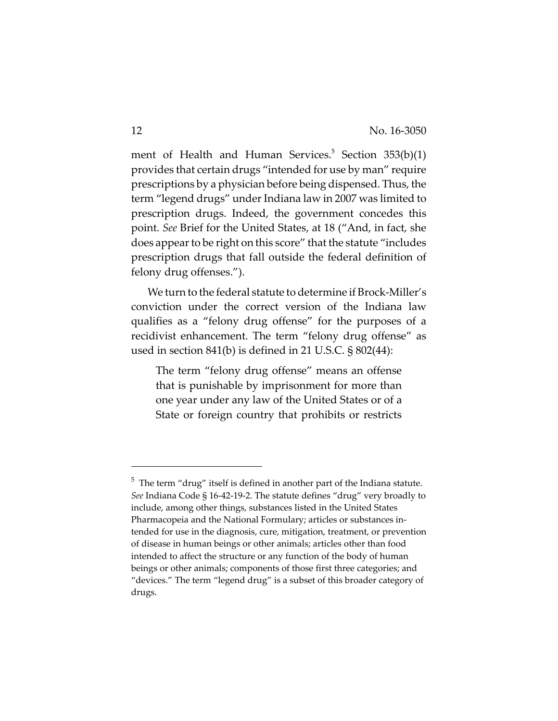ment of Health and Human Services.<sup>5</sup> Section 353(b)(1) provides that certain drugs "intended for use by man" require prescriptions by a physician before being dispensed. Thus, the term "legend drugs" under Indiana law in 2007 was limited to prescription drugs. Indeed, the government concedes this point. *See* Brief for the United States, at 18 ("And, in fact, she does appear to be right on this score" that the statute "includes prescription drugs that fall outside the federal definition of felony drug offenses.").

We turn to the federal statute to determine if Brock-Miller's conviction under the correct version of the Indiana law qualifies as a "felony drug offense" for the purposes of a recidivist enhancement. The term "felony drug offense" as used in section 841(b) is defined in 21 U.S.C. § 802(44):

The term "felony drug offense" means an offense that is punishable by imprisonment for more than one year under any law of the United States or of a State or foreign country that prohibits or restricts

 $5$  The term "drug" itself is defined in another part of the Indiana statute. *See* Indiana Code § 16-42-19-2. The statute defines "drug" very broadly to include, among other things, substances listed in the United States Pharmacopeia and the National Formulary; articles or substances intended for use in the diagnosis, cure, mitigation, treatment, or prevention of disease in human beings or other animals; articles other than food intended to affect the structure or any function of the body of human beings or other animals; components of those first three categories; and "devices." The term "legend drug" is a subset of this broader category of drugs.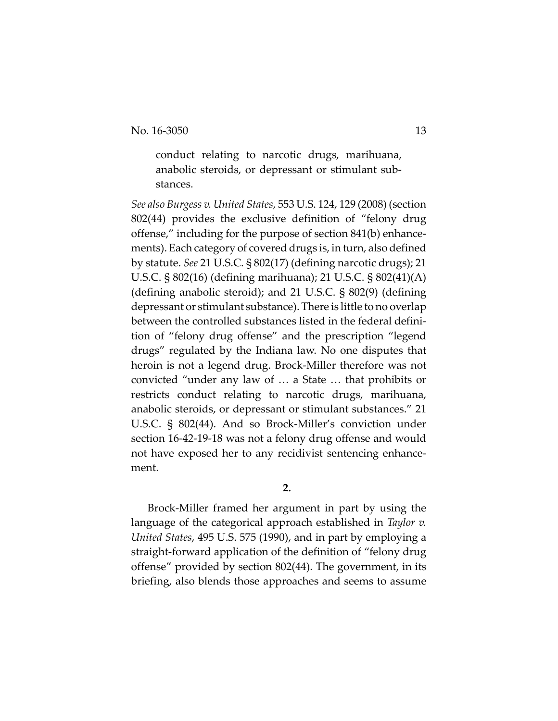conduct relating to narcotic drugs, marihuana, anabolic steroids, or depressant or stimulant substances.

*See also Burgess v. United States*, 553 U.S. 124, 129 (2008) (section 802(44) provides the exclusive definition of "felony drug offense," including for the purpose of section 841(b) enhancements). Each category of covered drugs is, in turn, also defined by statute. *See* 21 U.S.C. § 802(17) (defining narcotic drugs); 21 U.S.C. § 802(16) (defining marihuana); 21 U.S.C. § 802(41)(A) (defining anabolic steroid); and 21 U.S.C. § 802(9) (defining depressant or stimulant substance). There is little to no overlap between the controlled substances listed in the federal definition of "felony drug offense" and the prescription "legend drugs" regulated by the Indiana law. No one disputes that heroin is not a legend drug. Brock-Miller therefore was not convicted "under any law of … a State … that prohibits or restricts conduct relating to narcotic drugs, marihuana, anabolic steroids, or depressant or stimulant substances." 21 U.S.C. § 802(44). And so Brock-Miller's conviction under section 16-42-19-18 was not a felony drug offense and would not have exposed her to any recidivist sentencing enhancement.

**2.**

Brock-Miller framed her argument in part by using the language of the categorical approach established in *Taylor v. United States*, 495 U.S. 575 (1990), and in part by employing a straight-forward application of the definition of "felony drug offense" provided by section 802(44). The government, in its briefing, also blends those approaches and seems to assume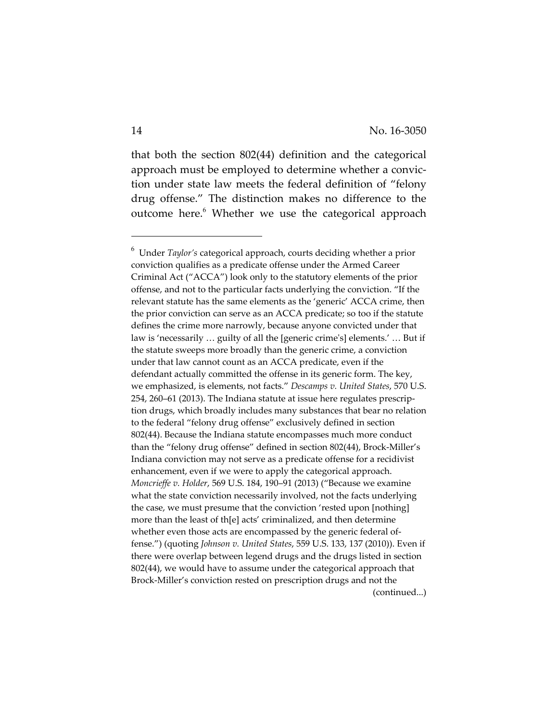that both the section 802(44) definition and the categorical approach must be employed to determine whether a conviction under state law meets the federal definition of "felony drug offense." The distinction makes no difference to the outcome here.<sup>6</sup> Whether we use the categorical approach

<sup>6</sup> Under *Taylor's* categorical approach, courts deciding whether a prior conviction qualifies as a predicate offense under the Armed Career Criminal Act ("ACCA") look only to the statutory elements of the prior offense, and not to the particular facts underlying the conviction. "If the relevant statute has the same elements as the 'generic' ACCA crime, then the prior conviction can serve as an ACCA predicate; so too if the statute defines the crime more narrowly, because anyone convicted under that law is 'necessarily … guilty of all the [generic crime's] elements.' … But if the statute sweeps more broadly than the generic crime, a conviction under that law cannot count as an ACCA predicate, even if the defendant actually committed the offense in its generic form. The key, we emphasized, is elements, not facts." *Descamps v. United States*, 570 U.S. 254, 260–61 (2013). The Indiana statute at issue here regulates prescription drugs, which broadly includes many substances that bear no relation to the federal "felony drug offense" exclusively defined in section 802(44). Because the Indiana statute encompasses much more conduct than the "felony drug offense" defined in section 802(44), Brock-Miller's Indiana conviction may not serve as a predicate offense for a recidivist enhancement, even if we were to apply the categorical approach. *Moncrieffe v. Holder*, 569 U.S. 184, 190–91 (2013) ("Because we examine what the state conviction necessarily involved, not the facts underlying the case, we must presume that the conviction 'rested upon [nothing] more than the least of th[e] acts' criminalized, and then determine whether even those acts are encompassed by the generic federal offense.") (quoting *Johnson v. United States*, 559 U.S. 133, 137 (2010)). Even if there were overlap between legend drugs and the drugs listed in section 802(44), we would have to assume under the categorical approach that Brock-Miller's conviction rested on prescription drugs and not the (continued...)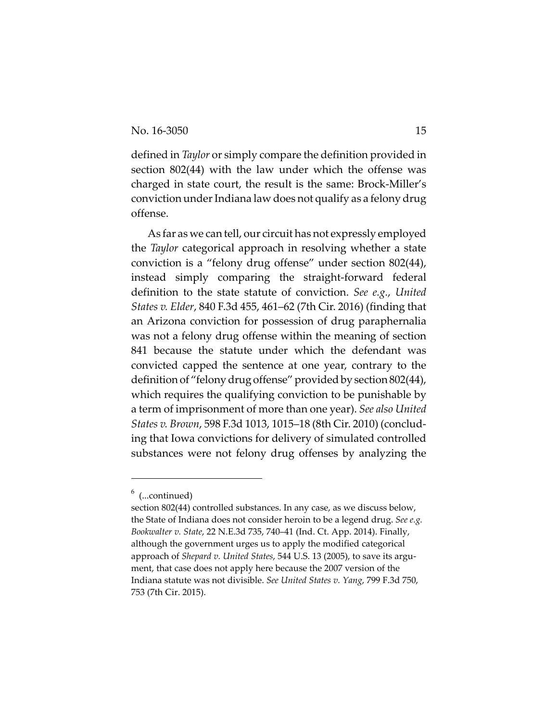defined in *Taylor* or simply compare the definition provided in section 802(44) with the law under which the offense was charged in state court, the result is the same: Brock-Miller's conviction under Indiana law does not qualify as a felony drug offense.

As far as we can tell, our circuit has not expressly employed the *Taylor* categorical approach in resolving whether a state conviction is a "felony drug offense" under section 802(44), instead simply comparing the straight-forward federal definition to the state statute of conviction. *See e.g.*, *United States v. Elder*, 840 F.3d 455, 461–62 (7th Cir. 2016) (finding that an Arizona conviction for possession of drug paraphernalia was not a felony drug offense within the meaning of section 841 because the statute under which the defendant was convicted capped the sentence at one year, contrary to the definition of "felony drug offense" provided by section 802(44), which requires the qualifying conviction to be punishable by a term of imprisonment of more than one year). *See also United States v. Brown*, 598 F.3d 1013, 1015–18 (8th Cir. 2010) (concluding that Iowa convictions for delivery of simulated controlled substances were not felony drug offenses by analyzing the

 $^6$  (...continued)

section 802(44) controlled substances. In any case, as we discuss below, the State of Indiana does not consider heroin to be a legend drug. *See e.g. Bookwalter v. State*, 22 N.E.3d 735, 740–41 (Ind. Ct. App. 2014). Finally, although the government urges us to apply the modified categorical approach of *Shepard v. United States*, 544 U.S. 13 (2005), to save its argument, that case does not apply here because the 2007 version of the Indiana statute was not divisible. *See United States v. Yang*, 799 F.3d 750, 753 (7th Cir. 2015).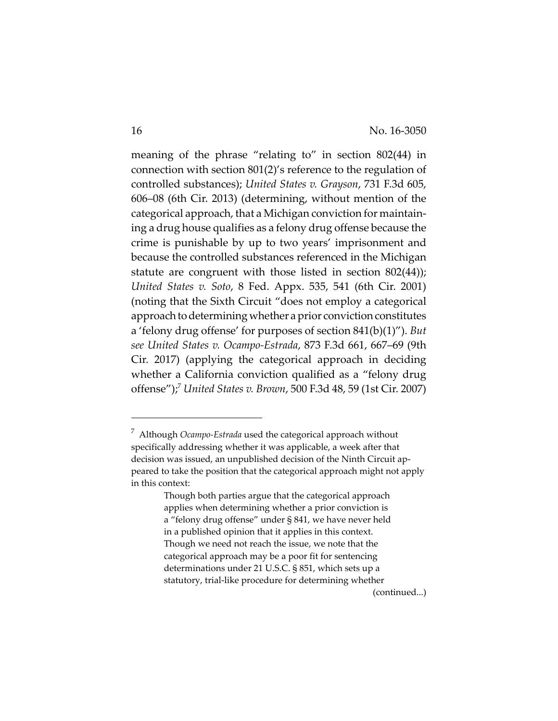meaning of the phrase "relating to" in section 802(44) in connection with section 801(2)'s reference to the regulation of controlled substances); *United States v. Grayson*, 731 F.3d 605, 606–08 (6th Cir. 2013) (determining, without mention of the categorical approach, that a Michigan conviction for maintaining a drug house qualifies as a felony drug offense because the crime is punishable by up to two years' imprisonment and because the controlled substances referenced in the Michigan statute are congruent with those listed in section 802(44)); *United States v. Soto*, 8 Fed. Appx. 535, 541 (6th Cir. 2001) (noting that the Sixth Circuit "does not employ a categorical approach to determining whether a prior conviction constitutes a 'felony drug offense' for purposes of section 841(b)(1)"). *But see United States v. Ocampo-Estrada*, 873 F.3d 661, 667–69 (9th Cir. 2017) (applying the categorical approach in deciding whether a California conviction qualified as a "felony drug offense");7 *United States v. Brown*, 500 F.3d 48, 59 (1st Cir. 2007)

(continued...)

<sup>7</sup> Although *Ocampo-Estrada* used the categorical approach without specifically addressing whether it was applicable, a week after that decision was issued, an unpublished decision of the Ninth Circuit appeared to take the position that the categorical approach might not apply in this context:

Though both parties argue that the categorical approach applies when determining whether a prior conviction is a "felony drug offense" under § 841, we have never held in a published opinion that it applies in this context. Though we need not reach the issue, we note that the categorical approach may be a poor fit for sentencing determinations under 21 U.S.C. § 851, which sets up a statutory, trial-like procedure for determining whether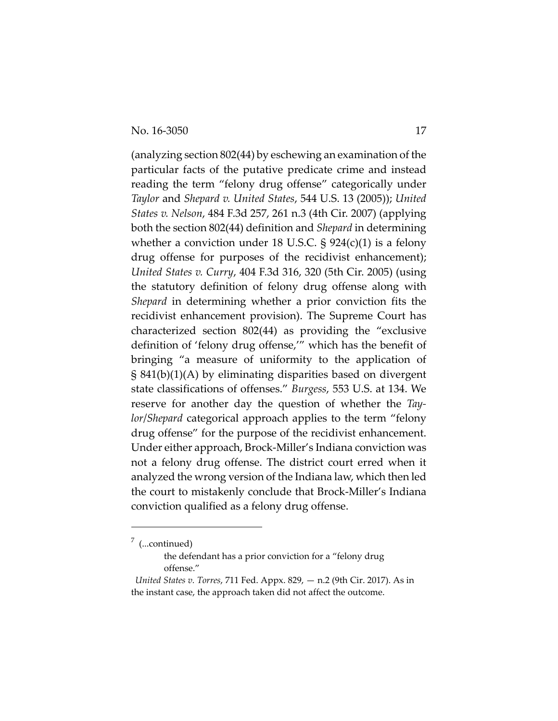(analyzing section 802(44) by eschewing an examination of the particular facts of the putative predicate crime and instead reading the term "felony drug offense" categorically under *Taylor* and *Shepard v. United States*, 544 U.S. 13 (2005)); *United States v. Nelson*, 484 F.3d 257, 261 n.3 (4th Cir. 2007) (applying both the section 802(44) definition and *Shepard* in determining whether a conviction under 18 U.S.C.  $\S 924(c)(1)$  is a felony drug offense for purposes of the recidivist enhancement); *United States v. Curry*, 404 F.3d 316, 320 (5th Cir. 2005) (using the statutory definition of felony drug offense along with *Shepard* in determining whether a prior conviction fits the recidivist enhancement provision). The Supreme Court has characterized section 802(44) as providing the "exclusive definition of 'felony drug offense,'" which has the benefit of bringing "a measure of uniformity to the application of § 841(b)(1)(A) by eliminating disparities based on divergent state classifications of offenses." *Burgess*, 553 U.S. at 134. We reserve for another day the question of whether the *Taylor*/*Shepard* categorical approach applies to the term "felony drug offense" for the purpose of the recidivist enhancement. Under either approach, Brock-Miller's Indiana conviction was not a felony drug offense. The district court erred when it analyzed the wrong version of the Indiana law, which then led the court to mistakenly conclude that Brock-Miller's Indiana conviction qualified as a felony drug offense.

 $\frac{7}{1}$  (...continued)

the defendant has a prior conviction for a "felony drug offense."

*United States v. Torres*, 711 Fed. Appx. 829, — n.2 (9th Cir. 2017). As in the instant case, the approach taken did not affect the outcome.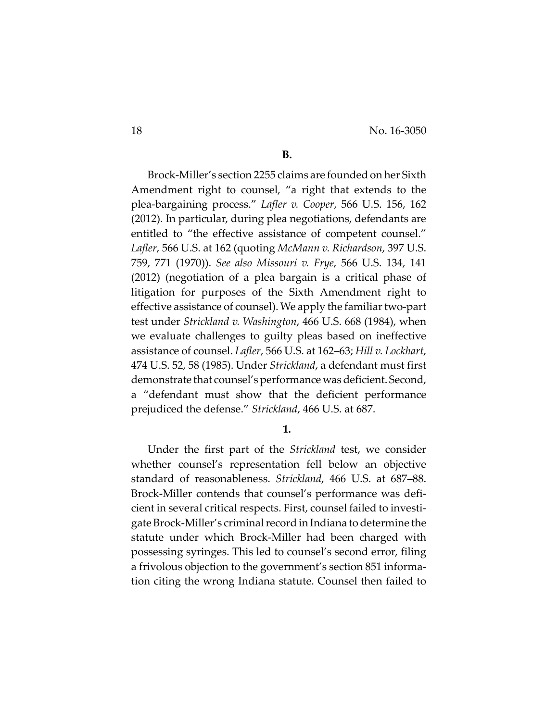### **B.**

Brock-Miller's section 2255 claims are founded on her Sixth Amendment right to counsel, "a right that extends to the plea-bargaining process." *Lafler v. Cooper*, 566 U.S. 156, 162 (2012). In particular, during plea negotiations, defendants are entitled to "the effective assistance of competent counsel." *Lafler*, 566 U.S. at 162 (quoting *McMann v. Richardson*, 397 U.S. 759, 771 (1970)). *See also Missouri v. Frye*, 566 U.S. 134, 141 (2012) (negotiation of a plea bargain is a critical phase of litigation for purposes of the Sixth Amendment right to effective assistance of counsel). We apply the familiar two-part test under *Strickland v. Washington*, 466 U.S. 668 (1984), when we evaluate challenges to guilty pleas based on ineffective assistance of counsel. *Lafler*, 566 U.S. at 162–63; *Hill v. Lockhart*, 474 U.S. 52, 58 (1985). Under *Strickland*, a defendant must first demonstrate that counsel's performance was deficient. Second, a "defendant must show that the deficient performance prejudiced the defense." *Strickland*, 466 U.S. at 687.

#### **1.**

Under the first part of the *Strickland* test, we consider whether counsel's representation fell below an objective standard of reasonableness. *Strickland*, 466 U.S. at 687–88. Brock-Miller contends that counsel's performance was deficient in several critical respects. First, counsel failed to investigate Brock-Miller's criminal record in Indiana to determine the statute under which Brock-Miller had been charged with possessing syringes. This led to counsel's second error, filing a frivolous objection to the government's section 851 information citing the wrong Indiana statute. Counsel then failed to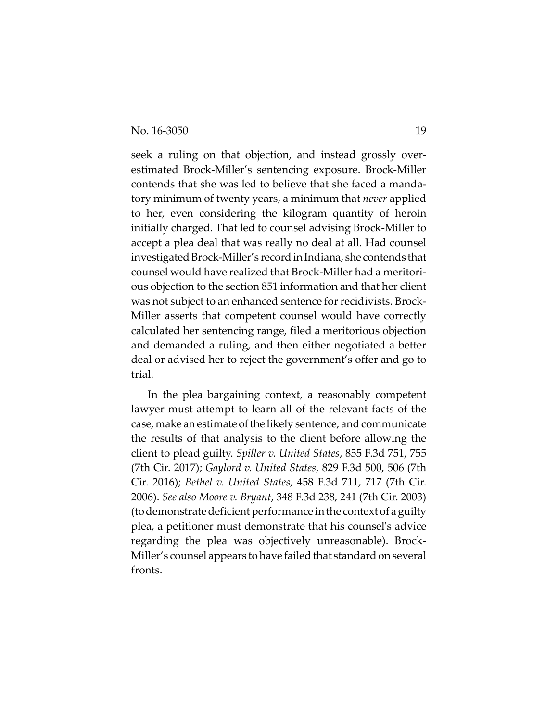seek a ruling on that objection, and instead grossly overestimated Brock-Miller's sentencing exposure. Brock-Miller contends that she was led to believe that she faced a mandatory minimum of twenty years, a minimum that *never* applied to her, even considering the kilogram quantity of heroin initially charged. That led to counsel advising Brock-Miller to accept a plea deal that was really no deal at all. Had counsel investigated Brock-Miller's record in Indiana, she contends that counsel would have realized that Brock-Miller had a meritorious objection to the section 851 information and that her client was not subject to an enhanced sentence for recidivists. Brock-Miller asserts that competent counsel would have correctly calculated her sentencing range, filed a meritorious objection and demanded a ruling, and then either negotiated a better deal or advised her to reject the government's offer and go to trial.

In the plea bargaining context, a reasonably competent lawyer must attempt to learn all of the relevant facts of the case, make an estimate of the likely sentence, and communicate the results of that analysis to the client before allowing the client to plead guilty. *Spiller v. United States*, 855 F.3d 751, 755 (7th Cir. 2017); *Gaylord v. United States*, 829 F.3d 500, 506 (7th Cir. 2016); *Bethel v. United States*, 458 F.3d 711, 717 (7th Cir. 2006). *See also Moore v. Bryant*, 348 F.3d 238, 241 (7th Cir. 2003) (to demonstrate deficient performance in the context of a guilty plea, a petitioner must demonstrate that his counsel's advice regarding the plea was objectively unreasonable). Brock-Miller's counsel appears to have failed that standard on several fronts.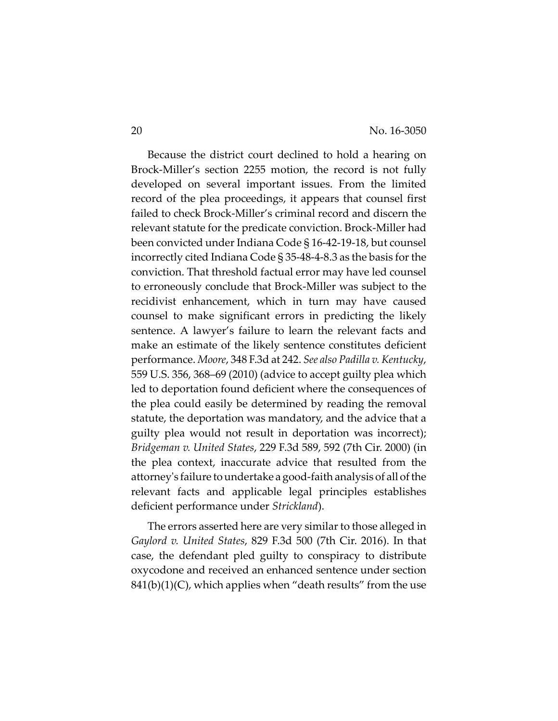Because the district court declined to hold a hearing on Brock-Miller's section 2255 motion, the record is not fully developed on several important issues. From the limited record of the plea proceedings, it appears that counsel first failed to check Brock-Miller's criminal record and discern the relevant statute for the predicate conviction. Brock-Miller had been convicted under Indiana Code § 16-42-19-18, but counsel incorrectly cited Indiana Code § 35-48-4-8.3 as the basis for the conviction. That threshold factual error may have led counsel to erroneously conclude that Brock-Miller was subject to the recidivist enhancement, which in turn may have caused counsel to make significant errors in predicting the likely sentence. A lawyer's failure to learn the relevant facts and make an estimate of the likely sentence constitutes deficient performance. *Moore*, 348 F.3d at 242. *See also Padilla v. Kentucky*, 559 U.S. 356, 368–69 (2010) (advice to accept guilty plea which led to deportation found deficient where the consequences of the plea could easily be determined by reading the removal statute, the deportation was mandatory, and the advice that a guilty plea would not result in deportation was incorrect); *Bridgeman v. United States*, 229 F.3d 589, 592 (7th Cir. 2000) (in the plea context, inaccurate advice that resulted from the attorney's failure to undertake a good-faith analysis of all of the relevant facts and applicable legal principles establishes deficient performance under *Strickland*).

The errors asserted here are very similar to those alleged in *Gaylord v. United States*, 829 F.3d 500 (7th Cir. 2016). In that case, the defendant pled guilty to conspiracy to distribute oxycodone and received an enhanced sentence under section  $841(b)(1)(C)$ , which applies when "death results" from the use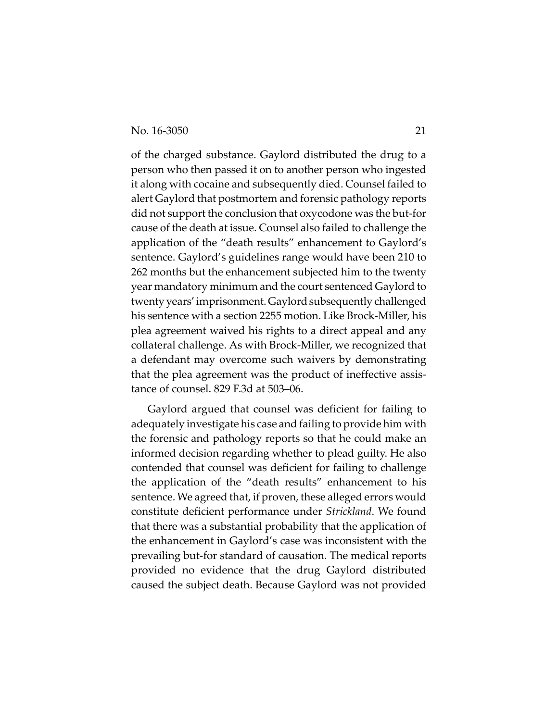of the charged substance. Gaylord distributed the drug to a person who then passed it on to another person who ingested it along with cocaine and subsequently died. Counsel failed to alert Gaylord that postmortem and forensic pathology reports did not support the conclusion that oxycodone was the but-for cause of the death at issue. Counsel also failed to challenge the application of the "death results" enhancement to Gaylord's sentence. Gaylord's guidelines range would have been 210 to 262 months but the enhancement subjected him to the twenty year mandatory minimum and the court sentenced Gaylord to twenty years' imprisonment. Gaylord subsequently challenged his sentence with a section 2255 motion. Like Brock-Miller, his plea agreement waived his rights to a direct appeal and any collateral challenge. As with Brock-Miller, we recognized that a defendant may overcome such waivers by demonstrating that the plea agreement was the product of ineffective assistance of counsel. 829 F.3d at 503–06.

Gaylord argued that counsel was deficient for failing to adequately investigate his case and failing to provide him with the forensic and pathology reports so that he could make an informed decision regarding whether to plead guilty. He also contended that counsel was deficient for failing to challenge the application of the "death results" enhancement to his sentence. We agreed that, if proven, these alleged errors would constitute deficient performance under *Strickland*. We found that there was a substantial probability that the application of the enhancement in Gaylord's case was inconsistent with the prevailing but-for standard of causation. The medical reports provided no evidence that the drug Gaylord distributed caused the subject death. Because Gaylord was not provided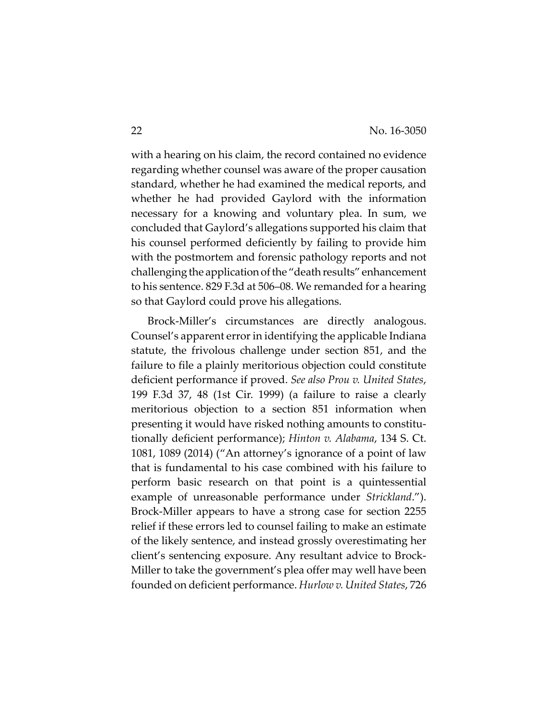with a hearing on his claim, the record contained no evidence regarding whether counsel was aware of the proper causation standard, whether he had examined the medical reports, and whether he had provided Gaylord with the information necessary for a knowing and voluntary plea. In sum, we concluded that Gaylord's allegations supported his claim that his counsel performed deficiently by failing to provide him with the postmortem and forensic pathology reports and not challenging the application of the "death results" enhancement to his sentence. 829 F.3d at 506–08. We remanded for a hearing so that Gaylord could prove his allegations.

Brock-Miller's circumstances are directly analogous. Counsel's apparent error in identifying the applicable Indiana statute, the frivolous challenge under section 851, and the failure to file a plainly meritorious objection could constitute deficient performance if proved. *See also Prou v. United States*, 199 F.3d 37, 48 (1st Cir. 1999) (a failure to raise a clearly meritorious objection to a section 851 information when presenting it would have risked nothing amounts to constitutionally deficient performance); *Hinton v. Alabama*, 134 S. Ct. 1081, 1089 (2014) ("An attorney's ignorance of a point of law that is fundamental to his case combined with his failure to perform basic research on that point is a quintessential example of unreasonable performance under *Strickland*."). Brock-Miller appears to have a strong case for section 2255 relief if these errors led to counsel failing to make an estimate of the likely sentence, and instead grossly overestimating her client's sentencing exposure. Any resultant advice to Brock-Miller to take the government's plea offer may well have been founded on deficient performance. *Hurlow v. United States*, 726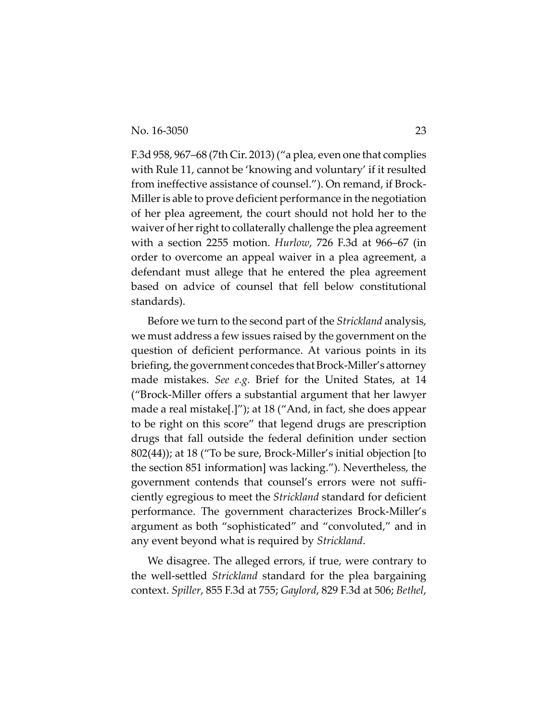F.3d 958, 967–68 (7th Cir. 2013) ("a plea, even one that complies with Rule 11, cannot be 'knowing and voluntary' if it resulted from ineffective assistance of counsel."). On remand, if Brock-Miller is able to prove deficient performance in the negotiation of her plea agreement, the court should not hold her to the waiver of her right to collaterally challenge the plea agreement with a section 2255 motion. *Hurlow*, 726 F.3d at 966–67 (in order to overcome an appeal waiver in a plea agreement, a defendant must allege that he entered the plea agreement based on advice of counsel that fell below constitutional standards).

Before we turn to the second part of the *Strickland* analysis, we must address a few issues raised by the government on the question of deficient performance. At various points in its briefing, the government concedes that Brock-Miller's attorney made mistakes. *See e.g.* Brief for the United States, at 14 ("Brock-Miller offers a substantial argument that her lawyer made a real mistake[.]"); at 18 ("And, in fact, she does appear to be right on this score" that legend drugs are prescription drugs that fall outside the federal definition under section 802(44)); at 18 ("To be sure, Brock-Miller's initial objection [to the section 851 information] was lacking."). Nevertheless, the government contends that counsel's errors were not sufficiently egregious to meet the *Strickland* standard for deficient performance. The government characterizes Brock-Miller's argument as both "sophisticated" and "convoluted," and in any event beyond what is required by *Strickland*.

We disagree. The alleged errors, if true, were contrary to the well-settled *Strickland* standard for the plea bargaining context. *Spiller*, 855 F.3d at 755; *Gaylord*, 829 F.3d at 506; *Bethel*,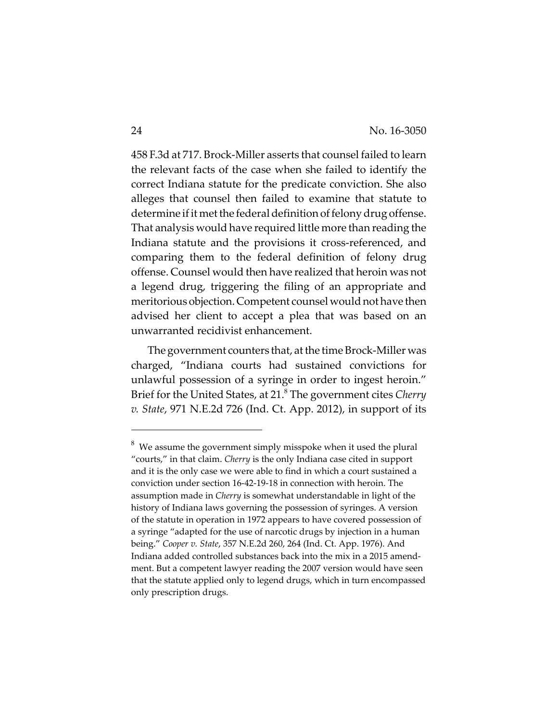458 F.3d at 717. Brock-Miller asserts that counsel failed to learn the relevant facts of the case when she failed to identify the correct Indiana statute for the predicate conviction. She also alleges that counsel then failed to examine that statute to determine if it met the federal definition of felony drug offense. That analysis would have required little more than reading the Indiana statute and the provisions it cross-referenced, and comparing them to the federal definition of felony drug offense. Counsel would then have realized that heroin was not a legend drug, triggering the filing of an appropriate and meritorious objection. Competent counsel would not have then advised her client to accept a plea that was based on an unwarranted recidivist enhancement.

The government counters that, at the time Brock-Miller was charged, "Indiana courts had sustained convictions for unlawful possession of a syringe in order to ingest heroin." Brief for the United States, at 21.8 The government cites *Cherry v. State*, 971 N.E.2d 726 (Ind. Ct. App. 2012), in support of its

 $^8\,$  We assume the government simply misspoke when it used the plural "courts," in that claim. *Cherry* is the only Indiana case cited in support and it is the only case we were able to find in which a court sustained a conviction under section 16-42-19-18 in connection with heroin. The assumption made in *Cherry* is somewhat understandable in light of the history of Indiana laws governing the possession of syringes. A version of the statute in operation in 1972 appears to have covered possession of a syringe "adapted for the use of narcotic drugs by injection in a human being." *Cooper v. State*, 357 N.E.2d 260, 264 (Ind. Ct. App. 1976). And Indiana added controlled substances back into the mix in a 2015 amendment. But a competent lawyer reading the 2007 version would have seen that the statute applied only to legend drugs, which in turn encompassed only prescription drugs.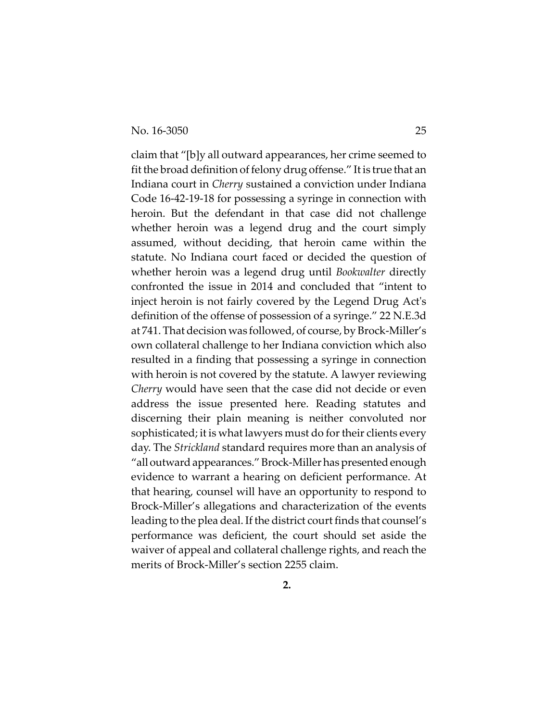claim that "[b]y all outward appearances, her crime seemed to fit the broad definition of felony drug offense." It is true that an Indiana court in *Cherry* sustained a conviction under Indiana Code 16-42-19-18 for possessing a syringe in connection with heroin. But the defendant in that case did not challenge whether heroin was a legend drug and the court simply assumed, without deciding, that heroin came within the statute. No Indiana court faced or decided the question of whether heroin was a legend drug until *Bookwalter* directly confronted the issue in 2014 and concluded that "intent to inject heroin is not fairly covered by the Legend Drug Act's definition of the offense of possession of a syringe." 22 N.E.3d at 741. That decision was followed, of course, by Brock-Miller's own collateral challenge to her Indiana conviction which also resulted in a finding that possessing a syringe in connection with heroin is not covered by the statute. A lawyer reviewing *Cherry* would have seen that the case did not decide or even address the issue presented here. Reading statutes and discerning their plain meaning is neither convoluted nor sophisticated; it is what lawyers must do for their clients every day. The *Strickland* standard requires more than an analysis of "all outward appearances." Brock-Miller has presented enough evidence to warrant a hearing on deficient performance. At that hearing, counsel will have an opportunity to respond to Brock-Miller's allegations and characterization of the events leading to the plea deal. If the district court finds that counsel's performance was deficient, the court should set aside the waiver of appeal and collateral challenge rights, and reach the merits of Brock-Miller's section 2255 claim.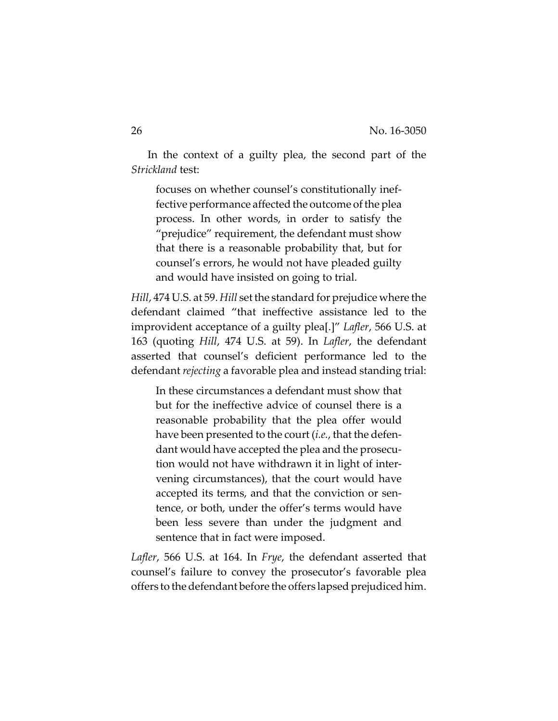In the context of a guilty plea, the second part of the *Strickland* test:

focuses on whether counsel's constitutionally ineffective performance affected the outcome of the plea process. In other words, in order to satisfy the "prejudice" requirement, the defendant must show that there is a reasonable probability that, but for counsel's errors, he would not have pleaded guilty and would have insisted on going to trial.

*Hill*, 474 U.S. at 59. *Hill* set the standard for prejudice where the defendant claimed "that ineffective assistance led to the improvident acceptance of a guilty plea[.]" *Lafler*, 566 U.S. at 163 (quoting *Hill*, 474 U.S. at 59). In *Lafler*, the defendant asserted that counsel's deficient performance led to the defendant *rejecting* a favorable plea and instead standing trial:

In these circumstances a defendant must show that but for the ineffective advice of counsel there is a reasonable probability that the plea offer would have been presented to the court (*i.e.*, that the defendant would have accepted the plea and the prosecution would not have withdrawn it in light of intervening circumstances), that the court would have accepted its terms, and that the conviction or sentence, or both, under the offer's terms would have been less severe than under the judgment and sentence that in fact were imposed.

*Lafler*, 566 U.S. at 164. In *Frye*, the defendant asserted that counsel's failure to convey the prosecutor's favorable plea offers to the defendant before the offers lapsed prejudiced him.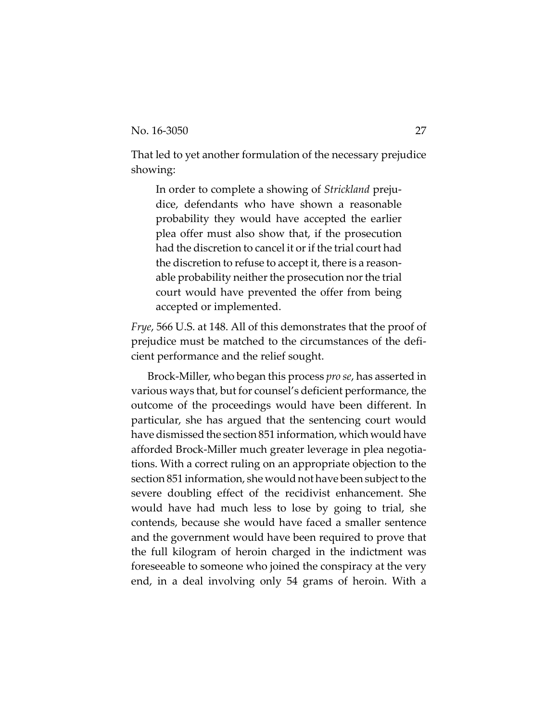That led to yet another formulation of the necessary prejudice showing:

In order to complete a showing of *Strickland* prejudice, defendants who have shown a reasonable probability they would have accepted the earlier plea offer must also show that, if the prosecution had the discretion to cancel it or if the trial court had the discretion to refuse to accept it, there is a reasonable probability neither the prosecution nor the trial court would have prevented the offer from being accepted or implemented.

*Frye*, 566 U.S. at 148. All of this demonstrates that the proof of prejudice must be matched to the circumstances of the deficient performance and the relief sought.

Brock-Miller, who began this process *pro se*, has asserted in various ways that, but for counsel's deficient performance, the outcome of the proceedings would have been different. In particular, she has argued that the sentencing court would have dismissed the section 851 information, which would have afforded Brock-Miller much greater leverage in plea negotiations. With a correct ruling on an appropriate objection to the section 851 information, she would not have been subject to the severe doubling effect of the recidivist enhancement. She would have had much less to lose by going to trial, she contends, because she would have faced a smaller sentence and the government would have been required to prove that the full kilogram of heroin charged in the indictment was foreseeable to someone who joined the conspiracy at the very end, in a deal involving only 54 grams of heroin. With a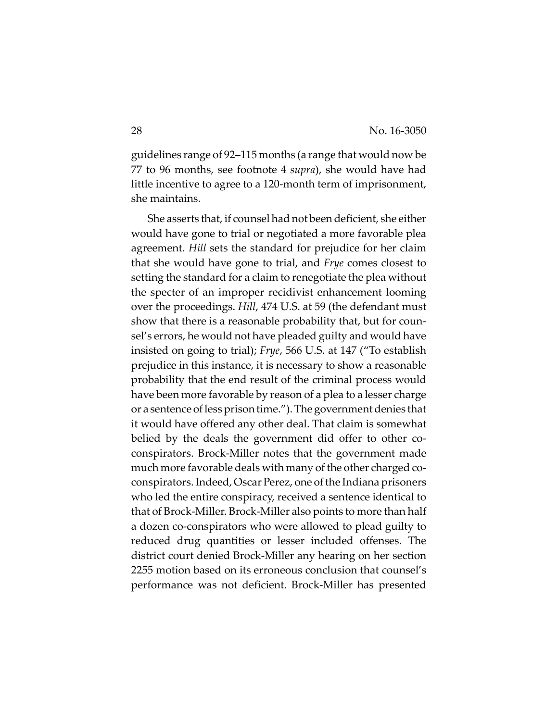guidelines range of 92–115 months (a range that would now be 77 to 96 months, see footnote 4 *supra*), she would have had little incentive to agree to a 120-month term of imprisonment, she maintains.

She asserts that, if counsel had not been deficient, she either would have gone to trial or negotiated a more favorable plea agreement. *Hill* sets the standard for prejudice for her claim that she would have gone to trial, and *Frye* comes closest to setting the standard for a claim to renegotiate the plea without the specter of an improper recidivist enhancement looming over the proceedings. *Hill*, 474 U.S. at 59 (the defendant must show that there is a reasonable probability that, but for counsel's errors, he would not have pleaded guilty and would have insisted on going to trial); *Frye*, 566 U.S. at 147 ("To establish prejudice in this instance, it is necessary to show a reasonable probability that the end result of the criminal process would have been more favorable by reason of a plea to a lesser charge or a sentence of less prison time."). The government denies that it would have offered any other deal. That claim is somewhat belied by the deals the government did offer to other coconspirators. Brock-Miller notes that the government made much more favorable deals with many of the other charged coconspirators. Indeed, Oscar Perez, one of the Indiana prisoners who led the entire conspiracy, received a sentence identical to that of Brock-Miller. Brock-Miller also points to more than half a dozen co-conspirators who were allowed to plead guilty to reduced drug quantities or lesser included offenses. The district court denied Brock-Miller any hearing on her section 2255 motion based on its erroneous conclusion that counsel's performance was not deficient. Brock-Miller has presented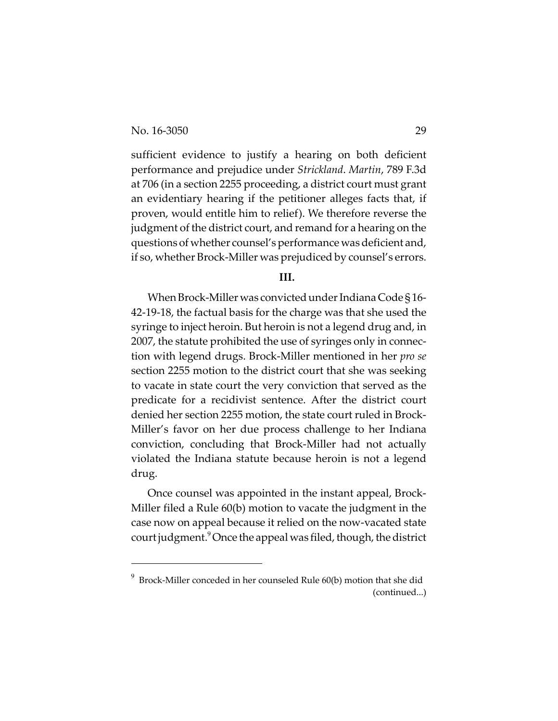sufficient evidence to justify a hearing on both deficient performance and prejudice under *Strickland*. *Martin*, 789 F.3d at 706 (in a section 2255 proceeding, a district court must grant an evidentiary hearing if the petitioner alleges facts that, if proven, would entitle him to relief). We therefore reverse the judgment of the district court, and remand for a hearing on the questions of whether counsel's performance was deficient and, if so, whether Brock-Miller was prejudiced by counsel's errors.

#### **III.**

When Brock-Miller was convicted under Indiana Code § 16- 42-19-18, the factual basis for the charge was that she used the syringe to inject heroin. But heroin is not a legend drug and, in 2007, the statute prohibited the use of syringes only in connection with legend drugs. Brock-Miller mentioned in her *pro se* section 2255 motion to the district court that she was seeking to vacate in state court the very conviction that served as the predicate for a recidivist sentence. After the district court denied her section 2255 motion, the state court ruled in Brock-Miller's favor on her due process challenge to her Indiana conviction, concluding that Brock-Miller had not actually violated the Indiana statute because heroin is not a legend drug.

Once counsel was appointed in the instant appeal, Brock-Miller filed a Rule 60(b) motion to vacate the judgment in the case now on appeal because it relied on the now-vacated state court judgment.<sup>9</sup> Once the appeal was filed, though, the district

 $^9$  Brock-Miller conceded in her counseled Rule 60(b) motion that she did (continued...)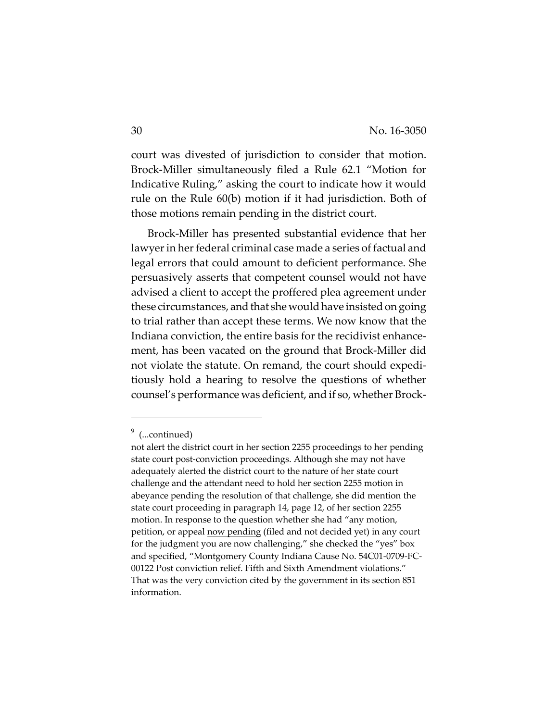court was divested of jurisdiction to consider that motion. Brock-Miller simultaneously filed a Rule 62.1 "Motion for Indicative Ruling," asking the court to indicate how it would rule on the Rule 60(b) motion if it had jurisdiction. Both of those motions remain pending in the district court.

Brock-Miller has presented substantial evidence that her lawyer in her federal criminal case made a series of factual and legal errors that could amount to deficient performance. She persuasively asserts that competent counsel would not have advised a client to accept the proffered plea agreement under these circumstances, and that she would have insisted on going to trial rather than accept these terms. We now know that the Indiana conviction, the entire basis for the recidivist enhancement, has been vacated on the ground that Brock-Miller did not violate the statute. On remand, the court should expeditiously hold a hearing to resolve the questions of whether counsel's performance was deficient, and if so, whether Brock-

<sup>&</sup>lt;sup>9</sup> (...continued)

not alert the district court in her section 2255 proceedings to her pending state court post-conviction proceedings. Although she may not have adequately alerted the district court to the nature of her state court challenge and the attendant need to hold her section 2255 motion in abeyance pending the resolution of that challenge, she did mention the state court proceeding in paragraph 14, page 12, of her section 2255 motion. In response to the question whether she had "any motion, petition, or appeal now pending (filed and not decided yet) in any court for the judgment you are now challenging," she checked the "yes" box and specified, "Montgomery County Indiana Cause No. 54C01-0709-FC-00122 Post conviction relief. Fifth and Sixth Amendment violations." That was the very conviction cited by the government in its section 851 information.